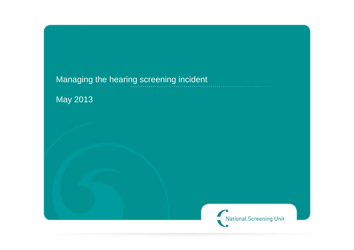# Managing the hearing screening incident

May 2013

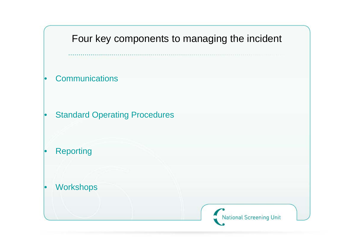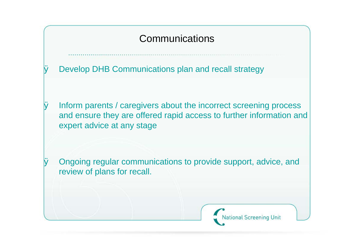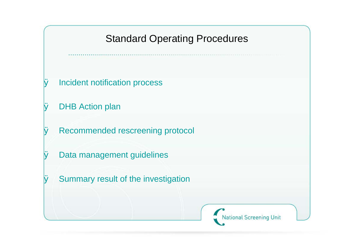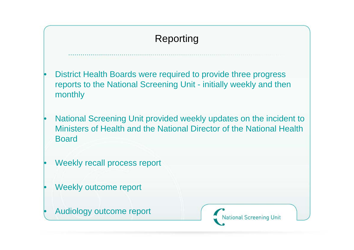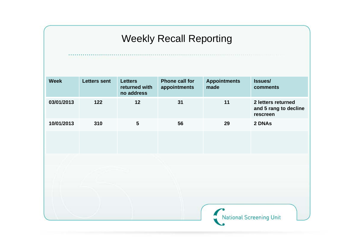# Weekly Recall Reporting

| <b>Week</b> | <b>Letters sent</b> | <b>Letters</b><br>returned with<br>no address | <b>Phone call for</b><br>appointments | <b>Appointments</b><br>made | <b>Issues/</b><br>comments                              |
|-------------|---------------------|-----------------------------------------------|---------------------------------------|-----------------------------|---------------------------------------------------------|
| 03/01/2013  | 122                 | 12                                            | 31                                    | 11                          | 2 letters returned<br>and 5 rang to decline<br>rescreen |
| 10/01/2013  | 310                 | $5\phantom{1}$                                | 56                                    | 29                          | 2 DNAs                                                  |
|             |                     |                                               |                                       |                             |                                                         |
|             |                     |                                               |                                       |                             |                                                         |
|             |                     |                                               |                                       |                             |                                                         |
|             |                     |                                               |                                       |                             |                                                         |
|             |                     |                                               |                                       |                             |                                                         |
|             |                     |                                               |                                       |                             |                                                         |
|             |                     |                                               |                                       |                             |                                                         |
|             |                     |                                               |                                       | National Screening Unit     |                                                         |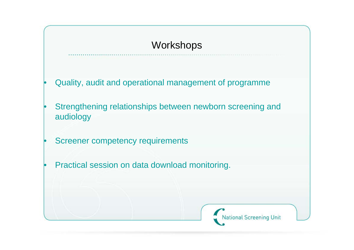## **Workshops**

- Quality, audit and operational management of programme
- Strengthening relationships between newborn screening and audiology
- Screener competency requirements
- Practical session on data download monitoring.

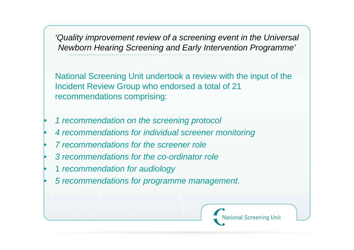*'Quality improvement review of a screening event in the Universal Newborn Hearing Screening and Early Intervention Programme'*

National Screening Unit undertook a review with the input of the Incident Review Group who endorsed a total of 21 recommendations comprising:

- *1 recommendation on the screening protocol*
- *4 recommendations for individual screener monitoring*
- *7 recommendations for the screener role*
- *3 recommendations for the co-ordinator role*
- 1 *recommendation for audiology*
- *5 recommendations for programme management.*

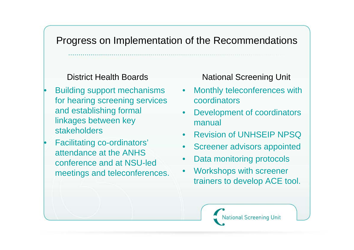### Progress on Implementation of the Recommendations

#### District Health Boards

- Building support mechanisms for hearing screening services and establishing formal linkages between key stakeholders
- Facilitating co-ordinators' attendance at the ANHS conference and at NSU-led meetings and teleconferences.

National Screening Unit

- Monthly teleconferences with coordinators
- Development of coordinators manual
- Revision of UNHSEIP NPSQ
- Screener advisors appointed
- Data monitoring protocols
- Workshops with screener trainers to develop ACE tool.